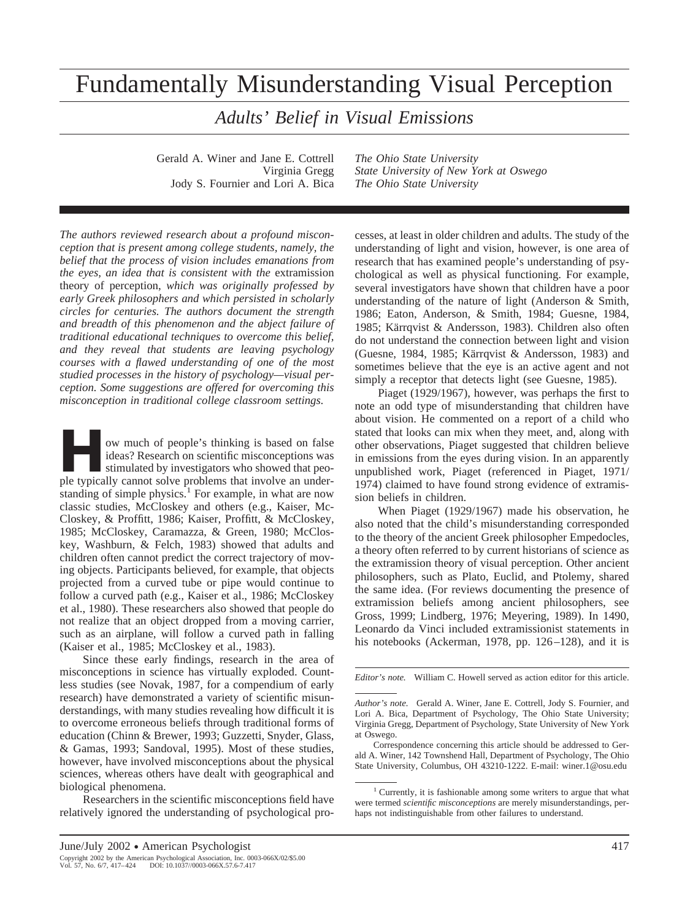# Fundamentally Misunderstanding Visual Perception

*Adults' Belief in Visual Emissions*

Gerald A. Winer and Jane E. Cottrell *The Ohio State University* Jody S. Fournier and Lori A. Bica *The Ohio State University*

Virginia Gregg *State University of New York at Oswego*

*The authors reviewed research about a profound misconception that is present among college students, namely, the belief that the process of vision includes emanations from the eyes, an idea that is consistent with the* extramission theory of perception, *which was originally professed by early Greek philosophers and which persisted in scholarly circles for centuries. The authors document the strength and breadth of this phenomenon and the abject failure of traditional educational techniques to overcome this belief, and they reveal that students are leaving psychology courses with a flawed understanding of one of the most studied processes in the history of psychology—visual perception. Some suggestions are offered for overcoming this misconception in traditional college classroom settings.*

**How much of people's thinking is based on false ideas? Research on scientific misconceptions was stimulated by investigators who showed that people typically cannot solve problems that involve an under**ideas? Research on scientific misconceptions was stimulated by investigators who showed that people typically cannot solve problems that involve an understanding of simple physics.<sup>1</sup> For example, in what are now classic studies, McCloskey and others (e.g., Kaiser, Mc-Closkey, & Proffitt, 1986; Kaiser, Proffitt, & McCloskey, 1985; McCloskey, Caramazza, & Green, 1980; McCloskey, Washburn, & Felch, 1983) showed that adults and children often cannot predict the correct trajectory of moving objects. Participants believed, for example, that objects projected from a curved tube or pipe would continue to follow a curved path (e.g., Kaiser et al., 1986; McCloskey et al., 1980). These researchers also showed that people do not realize that an object dropped from a moving carrier, such as an airplane, will follow a curved path in falling (Kaiser et al., 1985; McCloskey et al., 1983).

Since these early findings, research in the area of misconceptions in science has virtually exploded. Countless studies (see Novak, 1987, for a compendium of early research) have demonstrated a variety of scientific misunderstandings, with many studies revealing how difficult it is to overcome erroneous beliefs through traditional forms of education (Chinn & Brewer, 1993; Guzzetti, Snyder, Glass, & Gamas, 1993; Sandoval, 1995). Most of these studies, however, have involved misconceptions about the physical sciences, whereas others have dealt with geographical and biological phenomena.

Researchers in the scientific misconceptions field have relatively ignored the understanding of psychological processes, at least in older children and adults. The study of the understanding of light and vision, however, is one area of research that has examined people's understanding of psychological as well as physical functioning. For example, several investigators have shown that children have a poor understanding of the nature of light (Anderson & Smith, 1986; Eaton, Anderson, & Smith, 1984; Guesne, 1984, 1985; Kärrqvist & Andersson, 1983). Children also often do not understand the connection between light and vision (Guesne, 1984, 1985; Kärrqvist & Andersson, 1983) and sometimes believe that the eye is an active agent and not simply a receptor that detects light (see Guesne, 1985).

Piaget (1929/1967), however, was perhaps the first to note an odd type of misunderstanding that children have about vision. He commented on a report of a child who stated that looks can mix when they meet, and, along with other observations, Piaget suggested that children believe in emissions from the eyes during vision. In an apparently unpublished work, Piaget (referenced in Piaget, 1971/ 1974) claimed to have found strong evidence of extramission beliefs in children.

When Piaget (1929/1967) made his observation, he also noted that the child's misunderstanding corresponded to the theory of the ancient Greek philosopher Empedocles, a theory often referred to by current historians of science as the extramission theory of visual perception. Other ancient philosophers, such as Plato, Euclid, and Ptolemy, shared the same idea. (For reviews documenting the presence of extramission beliefs among ancient philosophers, see Gross, 1999; Lindberg, 1976; Meyering, 1989). In 1490, Leonardo da Vinci included extramissionist statements in his notebooks (Ackerman, 1978, pp. 126–128), and it is

*Editor's note.* William C. Howell served as action editor for this article.

*Author's note.* Gerald A. Winer, Jane E. Cottrell, Jody S. Fournier, and Lori A. Bica, Department of Psychology, The Ohio State University; Virginia Gregg, Department of Psychology, State University of New York at Oswego.

Correspondence concerning this article should be addressed to Gerald A. Winer, 142 Townshend Hall, Department of Psychology, The Ohio State University, Columbus, OH 43210-1222. E-mail: winer.1@osu.edu

 $1$  Currently, it is fashionable among some writers to argue that what were termed *scientific misconceptions* are merely misunderstandings, perhaps not indistinguishable from other failures to understand.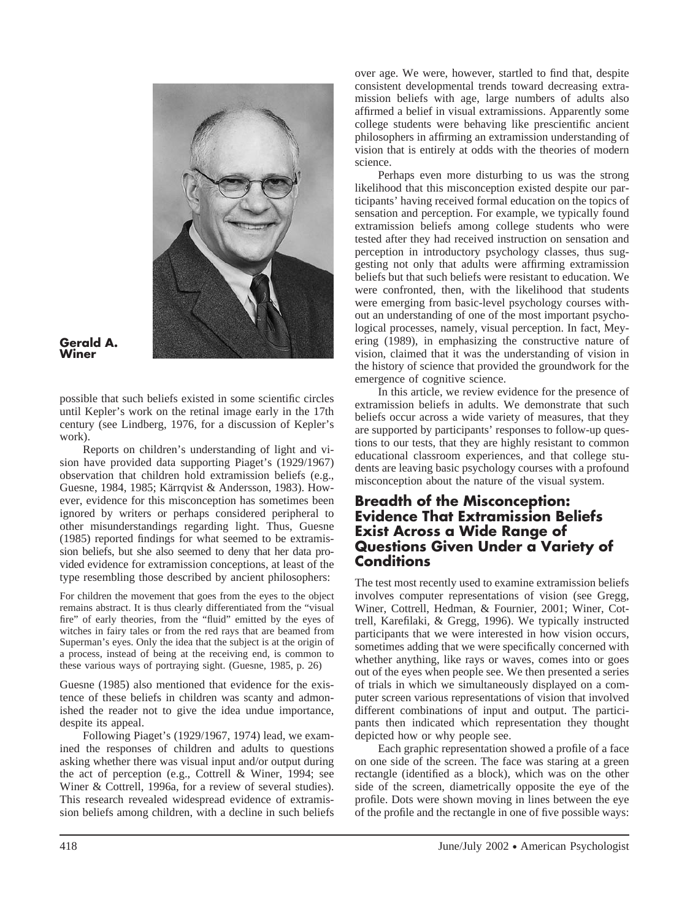

#### **Gerald A. Winer**

possible that such beliefs existed in some scientific circles until Kepler's work on the retinal image early in the 17th century (see Lindberg, 1976, for a discussion of Kepler's work).

Reports on children's understanding of light and vision have provided data supporting Piaget's (1929/1967) observation that children hold extramission beliefs (e.g., Guesne, 1984, 1985; Kärrqvist & Andersson, 1983). However, evidence for this misconception has sometimes been ignored by writers or perhaps considered peripheral to other misunderstandings regarding light. Thus, Guesne (1985) reported findings for what seemed to be extramission beliefs, but she also seemed to deny that her data provided evidence for extramission conceptions, at least of the type resembling those described by ancient philosophers:

For children the movement that goes from the eyes to the object remains abstract. It is thus clearly differentiated from the "visual fire" of early theories, from the "fluid" emitted by the eyes of witches in fairy tales or from the red rays that are beamed from Superman's eyes. Only the idea that the subject is at the origin of a process, instead of being at the receiving end, is common to these various ways of portraying sight. (Guesne, 1985, p. 26)

Guesne (1985) also mentioned that evidence for the existence of these beliefs in children was scanty and admonished the reader not to give the idea undue importance, despite its appeal.

Following Piaget's (1929/1967, 1974) lead, we examined the responses of children and adults to questions asking whether there was visual input and/or output during the act of perception (e.g., Cottrell & Winer, 1994; see Winer & Cottrell, 1996a, for a review of several studies). This research revealed widespread evidence of extramission beliefs among children, with a decline in such beliefs

over age. We were, however, startled to find that, despite consistent developmental trends toward decreasing extramission beliefs with age, large numbers of adults also affirmed a belief in visual extramissions. Apparently some college students were behaving like prescientific ancient philosophers in affirming an extramission understanding of vision that is entirely at odds with the theories of modern science.

Perhaps even more disturbing to us was the strong likelihood that this misconception existed despite our participants' having received formal education on the topics of sensation and perception. For example, we typically found extramission beliefs among college students who were tested after they had received instruction on sensation and perception in introductory psychology classes, thus suggesting not only that adults were affirming extramission beliefs but that such beliefs were resistant to education. We were confronted, then, with the likelihood that students were emerging from basic-level psychology courses without an understanding of one of the most important psychological processes, namely, visual perception. In fact, Meyering (1989), in emphasizing the constructive nature of vision, claimed that it was the understanding of vision in the history of science that provided the groundwork for the emergence of cognitive science.

In this article, we review evidence for the presence of extramission beliefs in adults. We demonstrate that such beliefs occur across a wide variety of measures, that they are supported by participants' responses to follow-up questions to our tests, that they are highly resistant to common educational classroom experiences, and that college students are leaving basic psychology courses with a profound misconception about the nature of the visual system.

### **Breadth of the Misconception: Evidence That Extramission Beliefs Exist Across a Wide Range of Questions Given Under a Variety of Conditions**

The test most recently used to examine extramission beliefs involves computer representations of vision (see Gregg, Winer, Cottrell, Hedman, & Fournier, 2001; Winer, Cottrell, Karefilaki, & Gregg, 1996). We typically instructed participants that we were interested in how vision occurs, sometimes adding that we were specifically concerned with whether anything, like rays or waves, comes into or goes out of the eyes when people see. We then presented a series of trials in which we simultaneously displayed on a computer screen various representations of vision that involved different combinations of input and output. The participants then indicated which representation they thought depicted how or why people see.

Each graphic representation showed a profile of a face on one side of the screen. The face was staring at a green rectangle (identified as a block), which was on the other side of the screen, diametrically opposite the eye of the profile. Dots were shown moving in lines between the eye of the profile and the rectangle in one of five possible ways: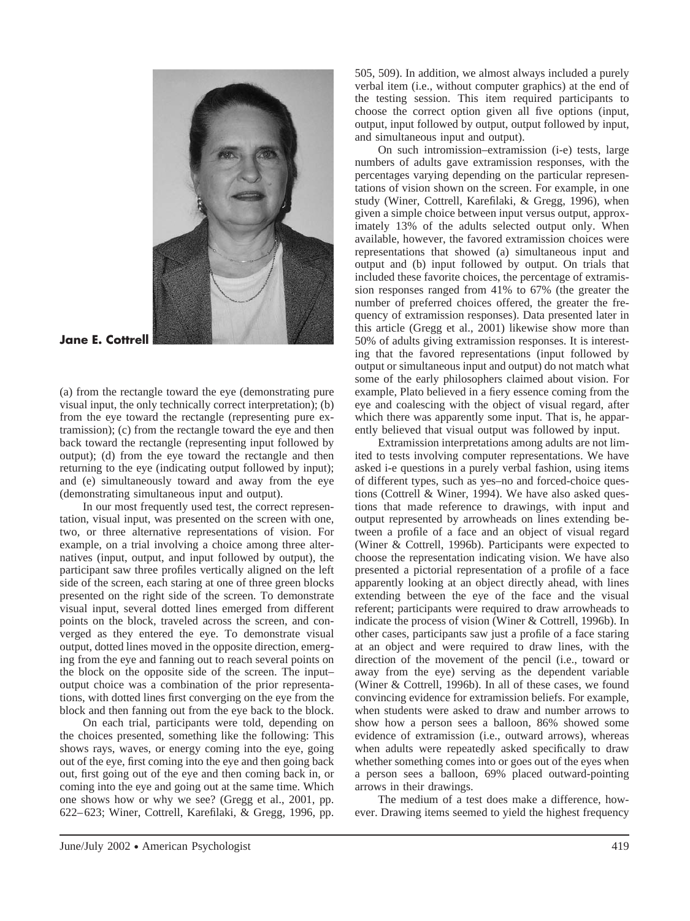

**Jane E. Cottrell**

(a) from the rectangle toward the eye (demonstrating pure visual input, the only technically correct interpretation); (b) from the eye toward the rectangle (representing pure extramission); (c) from the rectangle toward the eye and then back toward the rectangle (representing input followed by output); (d) from the eye toward the rectangle and then returning to the eye (indicating output followed by input); and (e) simultaneously toward and away from the eye (demonstrating simultaneous input and output).

In our most frequently used test, the correct representation, visual input, was presented on the screen with one, two, or three alternative representations of vision. For example, on a trial involving a choice among three alternatives (input, output, and input followed by output), the participant saw three profiles vertically aligned on the left side of the screen, each staring at one of three green blocks presented on the right side of the screen. To demonstrate visual input, several dotted lines emerged from different points on the block, traveled across the screen, and converged as they entered the eye. To demonstrate visual output, dotted lines moved in the opposite direction, emerging from the eye and fanning out to reach several points on the block on the opposite side of the screen. The input– output choice was a combination of the prior representations, with dotted lines first converging on the eye from the block and then fanning out from the eye back to the block.

On each trial, participants were told, depending on the choices presented, something like the following: This shows rays, waves, or energy coming into the eye, going out of the eye, first coming into the eye and then going back out, first going out of the eye and then coming back in, or coming into the eye and going out at the same time. Which one shows how or why we see? (Gregg et al., 2001, pp. 622–623; Winer, Cottrell, Karefilaki, & Gregg, 1996, pp.

505, 509). In addition, we almost always included a purely verbal item (i.e., without computer graphics) at the end of the testing session. This item required participants to choose the correct option given all five options (input, output, input followed by output, output followed by input, and simultaneous input and output).

On such intromission*–*extramission (i-e) tests, large numbers of adults gave extramission responses, with the percentages varying depending on the particular representations of vision shown on the screen. For example, in one study (Winer, Cottrell, Karefilaki, & Gregg, 1996), when given a simple choice between input versus output, approximately 13% of the adults selected output only. When available, however, the favored extramission choices were representations that showed (a) simultaneous input and output and (b) input followed by output. On trials that included these favorite choices, the percentage of extramission responses ranged from 41% to 67% (the greater the number of preferred choices offered, the greater the frequency of extramission responses). Data presented later in this article (Gregg et al., 2001) likewise show more than 50% of adults giving extramission responses. It is interesting that the favored representations (input followed by output or simultaneous input and output) do not match what some of the early philosophers claimed about vision. For example, Plato believed in a fiery essence coming from the eye and coalescing with the object of visual regard, after which there was apparently some input. That is, he apparently believed that visual output was followed by input.

Extramission interpretations among adults are not limited to tests involving computer representations. We have asked i-e questions in a purely verbal fashion, using items of different types, such as yes*–*no and forced-choice questions (Cottrell & Winer, 1994). We have also asked questions that made reference to drawings, with input and output represented by arrowheads on lines extending between a profile of a face and an object of visual regard (Winer & Cottrell, 1996b). Participants were expected to choose the representation indicating vision. We have also presented a pictorial representation of a profile of a face apparently looking at an object directly ahead, with lines extending between the eye of the face and the visual referent; participants were required to draw arrowheads to indicate the process of vision (Winer & Cottrell, 1996b). In other cases, participants saw just a profile of a face staring at an object and were required to draw lines, with the direction of the movement of the pencil (i.e., toward or away from the eye) serving as the dependent variable (Winer & Cottrell, 1996b). In all of these cases, we found convincing evidence for extramission beliefs. For example, when students were asked to draw and number arrows to show how a person sees a balloon, 86% showed some evidence of extramission (i.e., outward arrows), whereas when adults were repeatedly asked specifically to draw whether something comes into or goes out of the eyes when a person sees a balloon, 69% placed outward-pointing arrows in their drawings.

The medium of a test does make a difference, however. Drawing items seemed to yield the highest frequency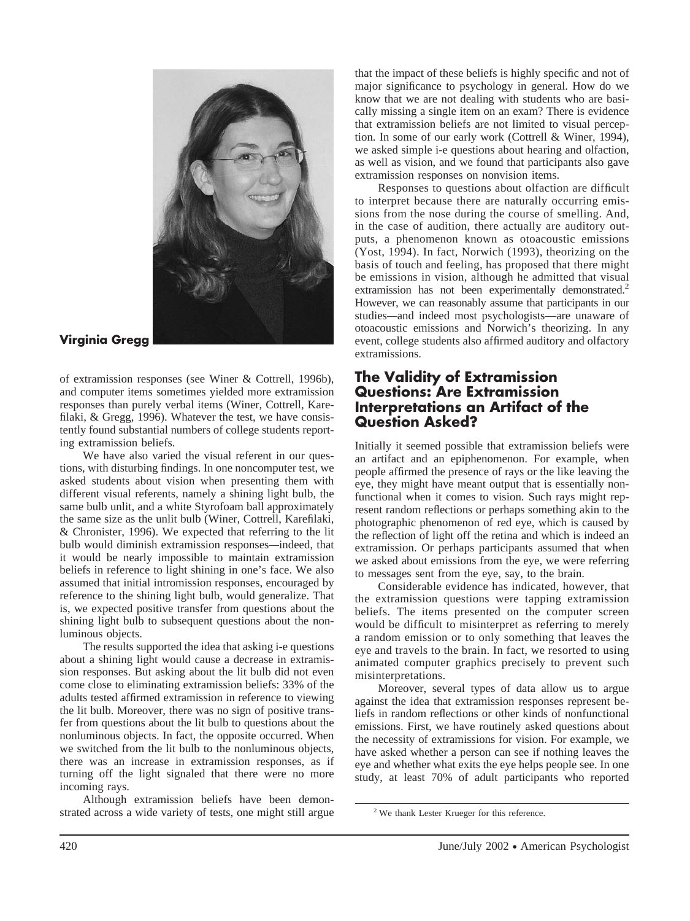

## **Virginia Gregg**

of extramission responses (see Winer & Cottrell, 1996b), and computer items sometimes yielded more extramission responses than purely verbal items (Winer, Cottrell, Karefilaki, & Gregg, 1996). Whatever the test, we have consistently found substantial numbers of college students reporting extramission beliefs.

We have also varied the visual referent in our questions, with disturbing findings. In one noncomputer test, we asked students about vision when presenting them with different visual referents, namely a shining light bulb, the same bulb unlit, and a white Styrofoam ball approximately the same size as the unlit bulb (Winer, Cottrell, Karefilaki, & Chronister, 1996). We expected that referring to the lit bulb would diminish extramission responses*—*indeed, that it would be nearly impossible to maintain extramission beliefs in reference to light shining in one's face. We also assumed that initial intromission responses, encouraged by reference to the shining light bulb, would generalize. That is, we expected positive transfer from questions about the shining light bulb to subsequent questions about the nonluminous objects.

The results supported the idea that asking i-e questions about a shining light would cause a decrease in extramission responses. But asking about the lit bulb did not even come close to eliminating extramission beliefs: 33% of the adults tested affirmed extramission in reference to viewing the lit bulb. Moreover, there was no sign of positive transfer from questions about the lit bulb to questions about the nonluminous objects. In fact, the opposite occurred. When we switched from the lit bulb to the nonluminous objects, there was an increase in extramission responses, as if turning off the light signaled that there were no more incoming rays.

Although extramission beliefs have been demonstrated across a wide variety of tests, one might still argue that the impact of these beliefs is highly specific and not of major significance to psychology in general. How do we know that we are not dealing with students who are basically missing a single item on an exam? There is evidence that extramission beliefs are not limited to visual perception. In some of our early work (Cottrell & Winer, 1994), we asked simple i-e questions about hearing and olfaction, as well as vision, and we found that participants also gave extramission responses on nonvision items.

Responses to questions about olfaction are difficult to interpret because there are naturally occurring emissions from the nose during the course of smelling. And, in the case of audition, there actually are auditory outputs, a phenomenon known as otoacoustic emissions (Yost, 1994). In fact, Norwich (1993), theorizing on the basis of touch and feeling, has proposed that there might be emissions in vision, although he admitted that visual extramission has not been experimentally demonstrated.<sup>2</sup> However, we can reasonably assume that participants in our studies*—*and indeed most psychologists—are unaware of otoacoustic emissions and Norwich's theorizing. In any event, college students also affirmed auditory and olfactory extramissions.

### **The Validity of Extramission Questions: Are Extramission Interpretations an Artifact of the Question Asked?**

Initially it seemed possible that extramission beliefs were an artifact and an epiphenomenon. For example, when people affirmed the presence of rays or the like leaving the eye, they might have meant output that is essentially nonfunctional when it comes to vision. Such rays might represent random reflections or perhaps something akin to the photographic phenomenon of red eye, which is caused by the reflection of light off the retina and which is indeed an extramission. Or perhaps participants assumed that when we asked about emissions from the eye, we were referring to messages sent from the eye, say, to the brain.

Considerable evidence has indicated, however, that the extramission questions were tapping extramission beliefs. The items presented on the computer screen would be difficult to misinterpret as referring to merely a random emission or to only something that leaves the eye and travels to the brain. In fact, we resorted to using animated computer graphics precisely to prevent such misinterpretations.

Moreover, several types of data allow us to argue against the idea that extramission responses represent beliefs in random reflections or other kinds of nonfunctional emissions. First, we have routinely asked questions about the necessity of extramissions for vision. For example, we have asked whether a person can see if nothing leaves the eye and whether what exits the eye helps people see. In one study, at least 70% of adult participants who reported

<sup>2</sup> We thank Lester Krueger for this reference.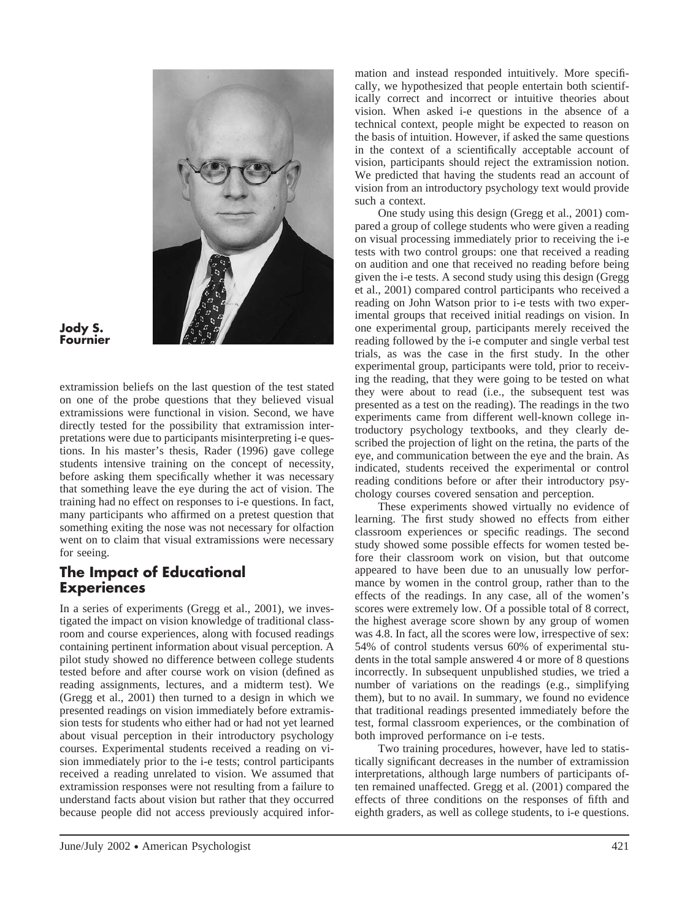

**Jody S. Fournier**

extramission beliefs on the last question of the test stated on one of the probe questions that they believed visual extramissions were functional in vision. Second, we have directly tested for the possibility that extramission interpretations were due to participants misinterpreting i-e questions. In his master's thesis, Rader (1996) gave college students intensive training on the concept of necessity, before asking them specifically whether it was necessary that something leave the eye during the act of vision. The training had no effect on responses to i-e questions. In fact, many participants who affirmed on a pretest question that something exiting the nose was not necessary for olfaction went on to claim that visual extramissions were necessary for seeing.

## **The Impact of Educational Experiences**

In a series of experiments (Gregg et al., 2001), we investigated the impact on vision knowledge of traditional classroom and course experiences, along with focused readings containing pertinent information about visual perception. A pilot study showed no difference between college students tested before and after course work on vision (defined as reading assignments, lectures, and a midterm test). We (Gregg et al., 2001) then turned to a design in which we presented readings on vision immediately before extramission tests for students who either had or had not yet learned about visual perception in their introductory psychology courses. Experimental students received a reading on vision immediately prior to the i-e tests; control participants received a reading unrelated to vision. We assumed that extramission responses were not resulting from a failure to understand facts about vision but rather that they occurred because people did not access previously acquired information and instead responded intuitively. More specifically, we hypothesized that people entertain both scientifically correct and incorrect or intuitive theories about vision. When asked i-e questions in the absence of a technical context, people might be expected to reason on the basis of intuition. However, if asked the same questions in the context of a scientifically acceptable account of vision, participants should reject the extramission notion. We predicted that having the students read an account of vision from an introductory psychology text would provide such a context.

One study using this design (Gregg et al., 2001) compared a group of college students who were given a reading on visual processing immediately prior to receiving the i-e tests with two control groups: one that received a reading on audition and one that received no reading before being given the i-e tests. A second study using this design (Gregg et al., 2001) compared control participants who received a reading on John Watson prior to i-e tests with two experimental groups that received initial readings on vision. In one experimental group, participants merely received the reading followed by the i-e computer and single verbal test trials, as was the case in the first study. In the other experimental group, participants were told, prior to receiving the reading, that they were going to be tested on what they were about to read (i.e., the subsequent test was presented as a test on the reading). The readings in the two experiments came from different well-known college introductory psychology textbooks, and they clearly described the projection of light on the retina, the parts of the eye, and communication between the eye and the brain. As indicated, students received the experimental or control reading conditions before or after their introductory psychology courses covered sensation and perception.

These experiments showed virtually no evidence of learning. The first study showed no effects from either classroom experiences or specific readings. The second study showed some possible effects for women tested before their classroom work on vision, but that outcome appeared to have been due to an unusually low performance by women in the control group, rather than to the effects of the readings. In any case, all of the women's scores were extremely low. Of a possible total of 8 correct, the highest average score shown by any group of women was 4.8. In fact, all the scores were low, irrespective of sex: 54% of control students versus 60% of experimental students in the total sample answered 4 or more of 8 questions incorrectly. In subsequent unpublished studies, we tried a number of variations on the readings (e.g., simplifying them), but to no avail. In summary, we found no evidence that traditional readings presented immediately before the test, formal classroom experiences, or the combination of both improved performance on i-e tests.

Two training procedures, however, have led to statistically significant decreases in the number of extramission interpretations, although large numbers of participants often remained unaffected. Gregg et al. (2001) compared the effects of three conditions on the responses of fifth and eighth graders, as well as college students, to i-e questions.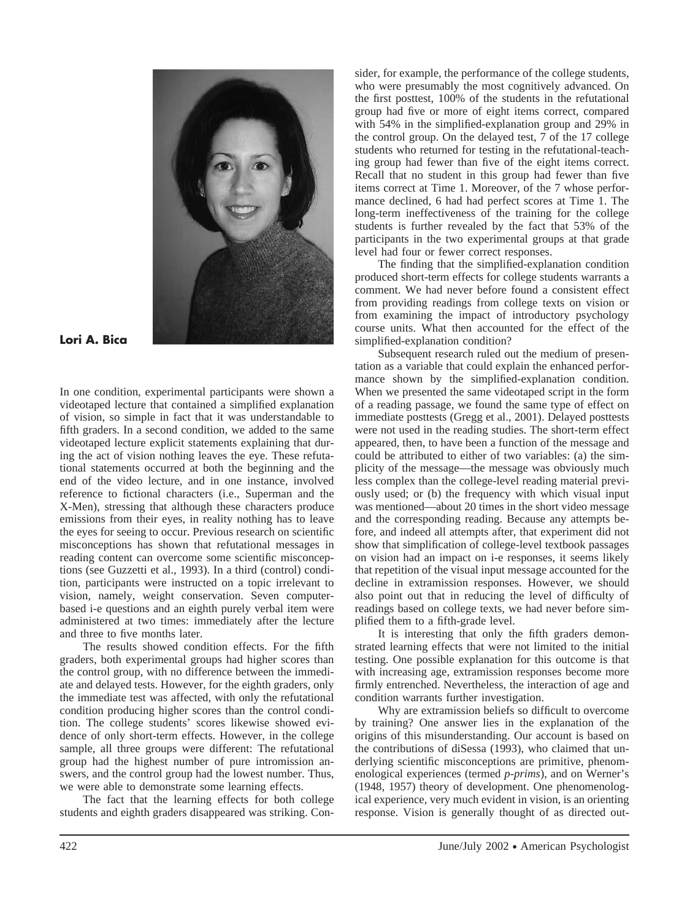

**Lori A. Bica**

In one condition, experimental participants were shown a videotaped lecture that contained a simplified explanation of vision, so simple in fact that it was understandable to fifth graders. In a second condition, we added to the same videotaped lecture explicit statements explaining that during the act of vision nothing leaves the eye. These refutational statements occurred at both the beginning and the end of the video lecture, and in one instance, involved reference to fictional characters (i.e., Superman and the X-Men), stressing that although these characters produce emissions from their eyes, in reality nothing has to leave the eyes for seeing to occur. Previous research on scientific misconceptions has shown that refutational messages in reading content can overcome some scientific misconceptions (see Guzzetti et al., 1993). In a third (control) condition, participants were instructed on a topic irrelevant to vision, namely, weight conservation. Seven computerbased i-e questions and an eighth purely verbal item were administered at two times: immediately after the lecture and three to five months later.

The results showed condition effects. For the fifth graders, both experimental groups had higher scores than the control group, with no difference between the immediate and delayed tests. However, for the eighth graders, only the immediate test was affected, with only the refutational condition producing higher scores than the control condition. The college students' scores likewise showed evidence of only short-term effects. However, in the college sample, all three groups were different: The refutational group had the highest number of pure intromission answers, and the control group had the lowest number. Thus, we were able to demonstrate some learning effects.

The fact that the learning effects for both college students and eighth graders disappeared was striking. Consider, for example, the performance of the college students, who were presumably the most cognitively advanced. On the first posttest, 100% of the students in the refutational group had five or more of eight items correct, compared with 54% in the simplified-explanation group and 29% in the control group. On the delayed test, 7 of the 17 college students who returned for testing in the refutational-teaching group had fewer than five of the eight items correct. Recall that no student in this group had fewer than five items correct at Time 1. Moreover, of the 7 whose performance declined, 6 had had perfect scores at Time 1. The long-term ineffectiveness of the training for the college students is further revealed by the fact that 53% of the participants in the two experimental groups at that grade level had four or fewer correct responses.

The finding that the simplified-explanation condition produced short-term effects for college students warrants a comment. We had never before found a consistent effect from providing readings from college texts on vision or from examining the impact of introductory psychology course units. What then accounted for the effect of the simplified-explanation condition?

Subsequent research ruled out the medium of presentation as a variable that could explain the enhanced performance shown by the simplified-explanation condition. When we presented the same videotaped script in the form of a reading passage, we found the same type of effect on immediate posttests (Gregg et al., 2001). Delayed posttests were not used in the reading studies. The short-term effect appeared, then, to have been a function of the message and could be attributed to either of two variables: (a) the simplicity of the message—the message was obviously much less complex than the college-level reading material previously used; or (b) the frequency with which visual input was mentioned—about 20 times in the short video message and the corresponding reading. Because any attempts before, and indeed all attempts after, that experiment did not show that simplification of college-level textbook passages on vision had an impact on i-e responses, it seems likely that repetition of the visual input message accounted for the decline in extramission responses. However, we should also point out that in reducing the level of difficulty of readings based on college texts, we had never before simplified them to a fifth-grade level.

It is interesting that only the fifth graders demonstrated learning effects that were not limited to the initial testing. One possible explanation for this outcome is that with increasing age, extramission responses become more firmly entrenched. Nevertheless, the interaction of age and condition warrants further investigation.

Why are extramission beliefs so difficult to overcome by training? One answer lies in the explanation of the origins of this misunderstanding. Our account is based on the contributions of diSessa (1993), who claimed that underlying scientific misconceptions are primitive, phenomenological experiences (termed *p-prims*), and on Werner's (1948, 1957) theory of development. One phenomenological experience, very much evident in vision, is an orienting response. Vision is generally thought of as directed out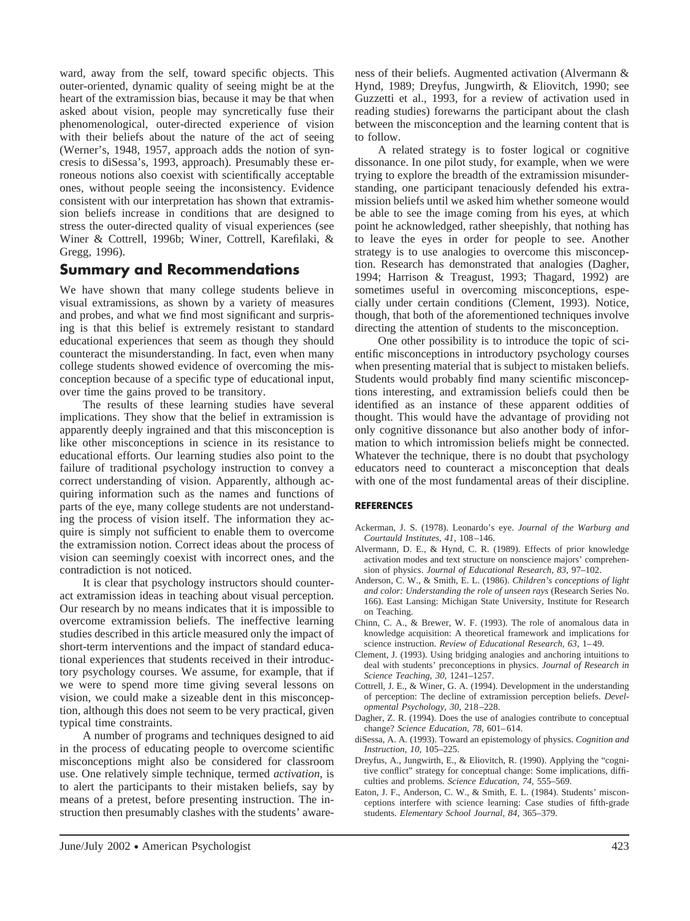ward, away from the self, toward specific objects. This outer-oriented, dynamic quality of seeing might be at the heart of the extramission bias, because it may be that when asked about vision, people may syncretically fuse their phenomenological, outer-directed experience of vision with their beliefs about the nature of the act of seeing (Werner's, 1948, 1957, approach adds the notion of syncresis to diSessa's, 1993, approach). Presumably these erroneous notions also coexist with scientifically acceptable ones, without people seeing the inconsistency. Evidence consistent with our interpretation has shown that extramission beliefs increase in conditions that are designed to stress the outer-directed quality of visual experiences (see Winer & Cottrell, 1996b; Winer, Cottrell, Karefilaki, & Gregg, 1996).

#### **Summary and Recommendations**

We have shown that many college students believe in visual extramissions, as shown by a variety of measures and probes, and what we find most significant and surprising is that this belief is extremely resistant to standard educational experiences that seem as though they should counteract the misunderstanding. In fact, even when many college students showed evidence of overcoming the misconception because of a specific type of educational input, over time the gains proved to be transitory.

The results of these learning studies have several implications. They show that the belief in extramission is apparently deeply ingrained and that this misconception is like other misconceptions in science in its resistance to educational efforts. Our learning studies also point to the failure of traditional psychology instruction to convey a correct understanding of vision. Apparently, although acquiring information such as the names and functions of parts of the eye, many college students are not understanding the process of vision itself. The information they acquire is simply not sufficient to enable them to overcome the extramission notion. Correct ideas about the process of vision can seemingly coexist with incorrect ones, and the contradiction is not noticed.

It is clear that psychology instructors should counteract extramission ideas in teaching about visual perception. Our research by no means indicates that it is impossible to overcome extramission beliefs. The ineffective learning studies described in this article measured only the impact of short-term interventions and the impact of standard educational experiences that students received in their introductory psychology courses. We assume, for example, that if we were to spend more time giving several lessons on vision, we could make a sizeable dent in this misconception, although this does not seem to be very practical, given typical time constraints.

A number of programs and techniques designed to aid in the process of educating people to overcome scientific misconceptions might also be considered for classroom use. One relatively simple technique, termed *activation*, is to alert the participants to their mistaken beliefs, say by means of a pretest, before presenting instruction. The instruction then presumably clashes with the students' awareness of their beliefs. Augmented activation (Alvermann & Hynd, 1989; Dreyfus, Jungwirth, & Eliovitch, 1990; see Guzzetti et al., 1993, for a review of activation used in reading studies) forewarns the participant about the clash between the misconception and the learning content that is to follow.

A related strategy is to foster logical or cognitive dissonance. In one pilot study, for example, when we were trying to explore the breadth of the extramission misunderstanding, one participant tenaciously defended his extramission beliefs until we asked him whether someone would be able to see the image coming from his eyes, at which point he acknowledged, rather sheepishly, that nothing has to leave the eyes in order for people to see. Another strategy is to use analogies to overcome this misconception. Research has demonstrated that analogies (Dagher, 1994; Harrison & Treagust, 1993; Thagard, 1992) are sometimes useful in overcoming misconceptions, especially under certain conditions (Clement, 1993). Notice, though, that both of the aforementioned techniques involve directing the attention of students to the misconception.

One other possibility is to introduce the topic of scientific misconceptions in introductory psychology courses when presenting material that is subject to mistaken beliefs. Students would probably find many scientific misconceptions interesting, and extramission beliefs could then be identified as an instance of these apparent oddities of thought. This would have the advantage of providing not only cognitive dissonance but also another body of information to which intromission beliefs might be connected. Whatever the technique, there is no doubt that psychology educators need to counteract a misconception that deals with one of the most fundamental areas of their discipline.

#### **REFERENCES**

- Ackerman, J. S. (1978). Leonardo's eye. *Journal of the Warburg and Courtauld Institutes, 41,* 108–146.
- Alvermann, D. E., & Hynd, C. R. (1989). Effects of prior knowledge activation modes and text structure on nonscience majors' comprehension of physics. *Journal of Educational Research, 83,* 97–102.
- Anderson, C. W., & Smith, E. L. (1986). *Children's conceptions of light and color: Understanding the role of unseen rays* (Research Series No. 166). East Lansing: Michigan State University, Institute for Research on Teaching.
- Chinn, C. A., & Brewer, W. F. (1993). The role of anomalous data in knowledge acquisition: A theoretical framework and implications for science instruction. *Review of Educational Research, 63,* 1–49.
- Clement, J. (1993). Using bridging analogies and anchoring intuitions to deal with students' preconceptions in physics. *Journal of Research in Science Teaching, 30,* 1241–1257.
- Cottrell, J. E., & Winer, G. A. (1994). Development in the understanding of perception: The decline of extramission perception beliefs. *Developmental Psychology, 30,* 218–228.
- Dagher, Z. R. (1994). Does the use of analogies contribute to conceptual change? *Science Education, 78,* 601–614.
- diSessa, A. A. (1993). Toward an epistemology of physics. *Cognition and Instruction, 10,* 105–225.
- Dreyfus, A., Jungwirth, E., & Eliovitch, R. (1990). Applying the "cognitive conflict" strategy for conceptual change: Some implications, difficulties and problems. *Science Education, 74,* 555–569.
- Eaton, J. F., Anderson, C. W., & Smith, E. L. (1984). Students' misconceptions interfere with science learning: Case studies of fifth-grade students. *Elementary School Journal, 84,* 365–379.